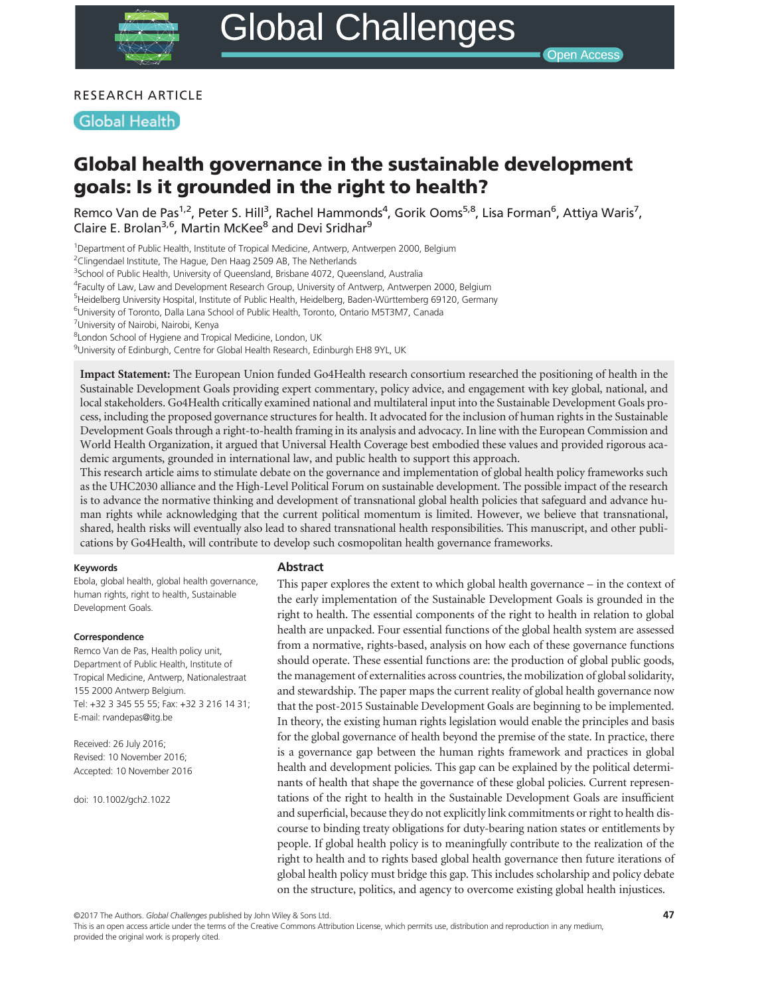# RESEARCH ARTICLE

## **Global Health**

# Global health governance in the sustainable development goals: Is it grounded in the right to health?

Remco Van de Pas<sup>1,2</sup>, Peter S. Hill<sup>3</sup>, Rachel Hammonds<sup>4</sup>, Gorik Ooms<sup>5,8</sup>, Lisa Forman<sup>6</sup>, Attiya Waris<sup>7</sup>, Claire E. Brolan<sup>3,6</sup>, Martin McKee<sup>8</sup> and Devi Sridhar<sup>9</sup>

<sup>1</sup>Department of Public Health, Institute of Tropical Medicine, Antwerp, Antwerpen 2000, Belgium

<sup>2</sup>Clingendael Institute, The Hague, Den Haag 2509 AB, The Netherlands

<sup>3</sup>School of Public Health, University of Queensland, Brisbane 4072, Queensland, Australia

<sup>4</sup>Faculty of Law, Law and Development Research Group, University of Antwerp, Antwerpen 2000, Belgium

<sup>5</sup>Heidelberg University Hospital, Institute of Public Health, Heidelberg, Baden-Württemberg 69120, Germany

6 University of Toronto, Dalla Lana School of Public Health, Toronto, Ontario M5T3M7, Canada

<sup>7</sup>University of Nairobi, Nairobi, Kenya

<sup>8</sup> London School of Hygiene and Tropical Medicine, London, UK

<sup>9</sup>University of Edinburgh, Centre for Global Health Research, Edinburgh EH8 9YL, UK

Impact Statement: The European Union funded Go4Health research consortium researched the positioning of health in the Sustainable Development Goals providing expert commentary, policy advice, and engagement with key global, national, and local stakeholders. Go4Health critically examined national and multilateral input into the Sustainable Development Goals process, including the proposed governance structures for health. It advocated for the inclusion of human rights in the Sustainable Development Goals through a right-to-health framing in its analysis and advocacy. In line with the European Commission and World Health Organization, it argued that Universal Health Coverage best embodied these values and provided rigorous academic arguments, grounded in international law, and public health to support this approach.

This research article aims to stimulate debate on the governance and implementation of global health policy frameworks such as the UHC2030 alliance and the High-Level Political Forum on sustainable development. The possible impact of the research is to advance the normative thinking and development of transnational global health policies that safeguard and advance human rights while acknowledging that the current political momentum is limited. However, we believe that transnational, shared, health risks will eventually also lead to shared transnational health responsibilities. This manuscript, and other publications by Go4Health, will contribute to develop such cosmopolitan health governance frameworks.

#### Keywords

Ebola, global health, global health governance, human rights, right to health, Sustainable Development Goals.

#### Correspondence

Remco Van de Pas, Health policy unit, Department of Public Health, Institute of Tropical Medicine, Antwerp, Nationalestraat 155 2000 Antwerp Belgium. Tel: +32 3 345 55 55; Fax: +32 3 216 14 31; E-mail: rvandepas@itg.be

Received: 26 July 2016; Revised: 10 November 2016; Accepted: 10 November 2016

doi: 10.1002/gch2.1022

#### Abstract

This paper explores the extent to which global health governance – in the context of the early implementation of the Sustainable Development Goals is grounded in the right to health. The essential components of the right to health in relation to global health are unpacked. Four essential functions of the global health system are assessed from a normative, rights-based, analysis on how each of these governance functions should operate. These essential functions are: the production of global public goods, the management of externalities across countries, the mobilization of global solidarity, and stewardship. The paper maps the current reality of global health governance now that the post-2015 Sustainable Development Goals are beginning to be implemented. In theory, the existing human rights legislation would enable the principles and basis for the global governance of health beyond the premise of the state. In practice, there is a governance gap between the human rights framework and practices in global health and development policies. This gap can be explained by the political determinants of health that shape the governance of these global policies. Current representations of the right to health in the Sustainable Development Goals are insufficient and superficial, because they do not explicitly link commitments or right to health discourse to binding treaty obligations for duty-bearing nation states or entitlements by people. If global health policy is to meaningfully contribute to the realization of the right to health and to rights based global health governance then future iterations of global health policy must bridge this gap. This includes scholarship and policy debate on the structure, politics, and agency to overcome existing global health injustices.

©2017 The Authors. Global Challenges published by John Wiley & Sons Ltd.<br>This is an open access article under the terms of the [Creative Commons Attribution](http://creativecommons.org/licenses/by/4.0/) License, which permits use, distribution and reproduction in any m provided the original work is properly cited.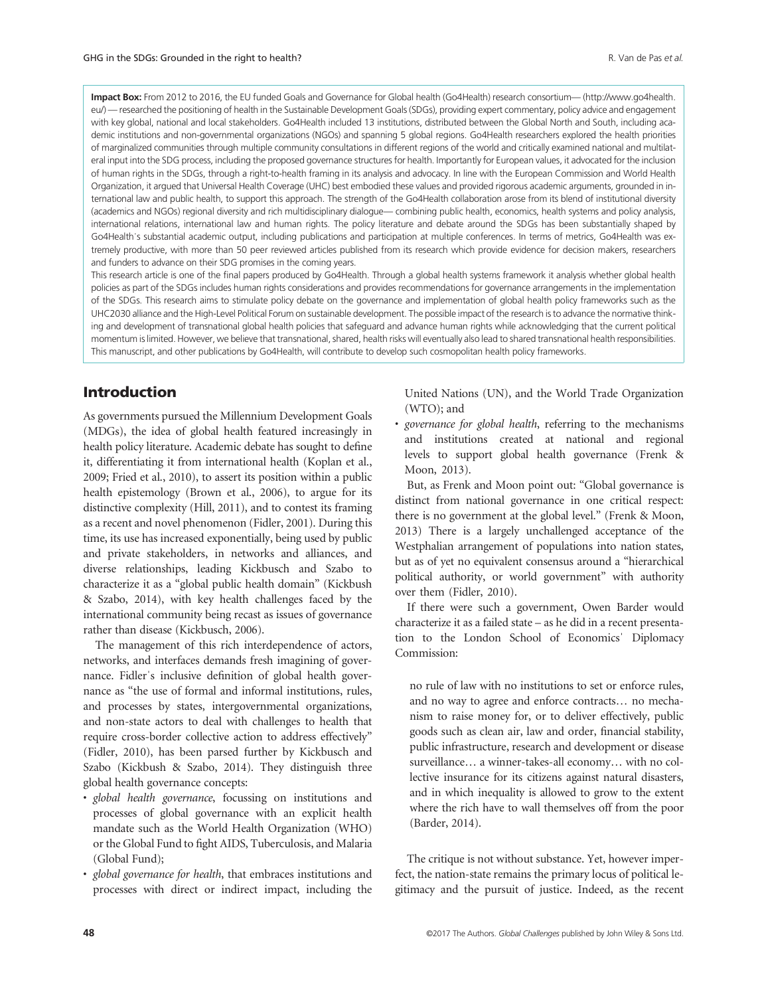Impact Box: From 2012 to 2016, the EU funded Goals and Governance for Global health (Go4Health) research consortium— [\(http://www.go4health.](http://www.go4health.eu/) [eu/](http://www.go4health.eu/)) — researched the positioning of health in the Sustainable Development Goals (SDGs), providing expert commentary, policy advice and engagement with key global, national and local stakeholders. Go4Health included 13 institutions, distributed between the Global North and South, including academic institutions and non-governmental organizations (NGOs) and spanning 5 global regions. Go4Health researchers explored the health priorities of marginalized communities through multiple community consultations in different regions of the world and critically examined national and multilateral input into the SDG process, including the proposed governance structures for health. Importantly for European values, it advocated for the inclusion of human rights in the SDGs, through a right-to-health framing in its analysis and advocacy. In line with the European Commission and World Health Organization, it argued that Universal Health Coverage (UHC) best embodied these values and provided rigorous academic arguments, grounded in international law and public health, to support this approach. The strength of the Go4Health collaboration arose from its blend of institutional diversity (academics and NGOs) regional diversity and rich multidisciplinary dialogue— combining public health, economics, health systems and policy analysis, international relations, international law and human rights. The policy literature and debate around the SDGs has been substantially shaped by Go4Health's substantial academic output, including publications and participation at multiple conferences. In terms of metrics, Go4Health was extremely productive, with more than 50 peer reviewed articles published from its research which provide evidence for decision makers, researchers and funders to advance on their SDG promises in the coming years.

This research article is one of the final papers produced by Go4Health. Through a global health systems framework it analysis whether global health policies as part of the SDGs includes human rights considerations and provides recommendations for governance arrangements in the implementation of the SDGs. This research aims to stimulate policy debate on the governance and implementation of global health policy frameworks such as the UHC2030 alliance and the High-Level Political Forum on sustainable development. The possible impact of the research is to advance the normative thinking and development of transnational global health policies that safeguard and advance human rights while acknowledging that the current political momentum is limited. However, we believe that transnational, shared, health risks will eventually also lead to shared transnational health responsibilities. This manuscript, and other publications by Go4Health, will contribute to develop such cosmopolitan health policy frameworks.

# Introduction

As governments pursued the Millennium Development Goals (MDGs), the idea of global health featured increasingly in health policy literature. Academic debate has sought to define it, differentiating it from international health (Koplan et al., 2009; Fried et al., 2010), to assert its position within a public health epistemology (Brown et al., 2006), to argue for its distinctive complexity (Hill, 2011), and to contest its framing as a recent and novel phenomenon (Fidler, 2001). During this time, its use has increased exponentially, being used by public and private stakeholders, in networks and alliances, and diverse relationships, leading Kickbusch and Szabo to characterize it as a "global public health domain" (Kickbush & Szabo, 2014), with key health challenges faced by the international community being recast as issues of governance rather than disease (Kickbusch, 2006).

The management of this rich interdependence of actors, networks, and interfaces demands fresh imagining of governance. Fidlerˈs inclusive definition of global health governance as "the use of formal and informal institutions, rules, and processes by states, intergovernmental organizations, and non-state actors to deal with challenges to health that require cross-border collective action to address effectively" (Fidler, 2010), has been parsed further by Kickbusch and Szabo (Kickbush & Szabo, 2014). They distinguish three global health governance concepts:

- global health governance, focussing on institutions and processes of global governance with an explicit health mandate such as the World Health Organization (WHO) or the Global Fund to fight AIDS, Tuberculosis, and Malaria (Global Fund);
- global governance for health, that embraces institutions and processes with direct or indirect impact, including the

United Nations (UN), and the World Trade Organization (WTO); and

• governance for global health, referring to the mechanisms and institutions created at national and regional levels to support global health governance (Frenk & Moon, 2013).

But, as Frenk and Moon point out: "Global governance is distinct from national governance in one critical respect: there is no government at the global level." (Frenk & Moon, 2013) There is a largely unchallenged acceptance of the Westphalian arrangement of populations into nation states, but as of yet no equivalent consensus around a "hierarchical political authority, or world government" with authority over them (Fidler, 2010).

If there were such a government, Owen Barder would characterize it as a failed state – as he did in a recent presentation to the London School of Economicsˈ Diplomacy Commission:

no rule of law with no institutions to set or enforce rules, and no way to agree and enforce contracts… no mechanism to raise money for, or to deliver effectively, public goods such as clean air, law and order, financial stability, public infrastructure, research and development or disease surveillance… a winner-takes-all economy… with no collective insurance for its citizens against natural disasters, and in which inequality is allowed to grow to the extent where the rich have to wall themselves off from the poor (Barder, 2014).

The critique is not without substance. Yet, however imperfect, the nation-state remains the primary locus of political legitimacy and the pursuit of justice. Indeed, as the recent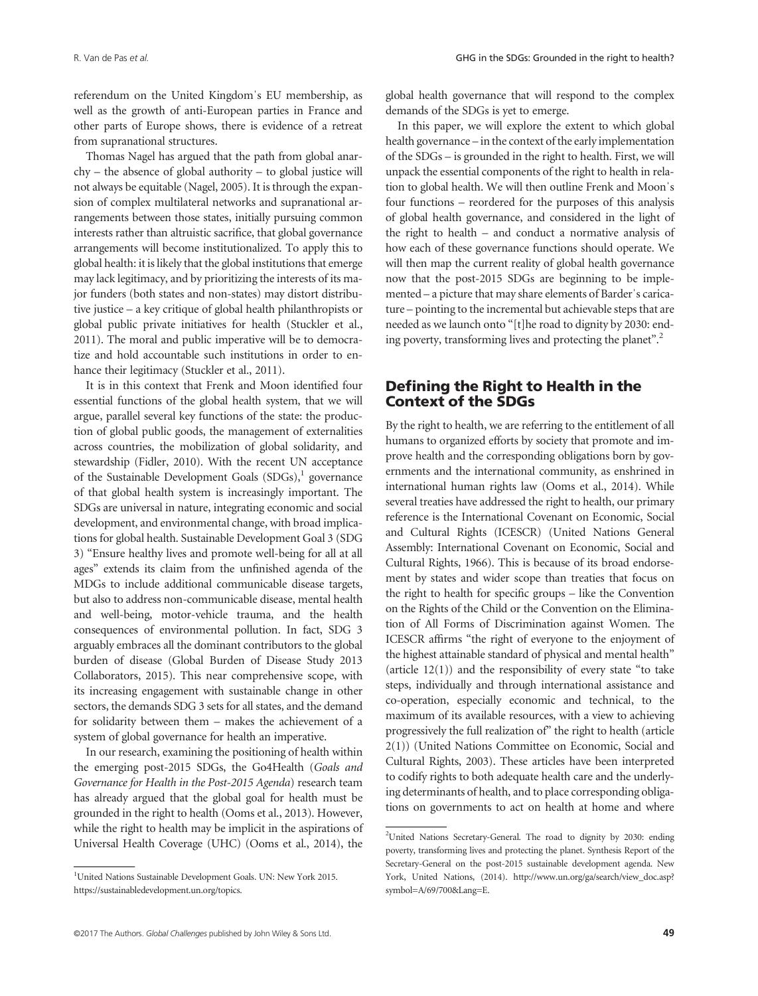referendum on the United Kingdomˈs EU membership, as well as the growth of anti-European parties in France and other parts of Europe shows, there is evidence of a retreat from supranational structures.

Thomas Nagel has argued that the path from global anarchy – the absence of global authority – to global justice will not always be equitable (Nagel, 2005). It is through the expansion of complex multilateral networks and supranational arrangements between those states, initially pursuing common interests rather than altruistic sacrifice, that global governance arrangements will become institutionalized. To apply this to global health: it is likely that the global institutions that emerge may lack legitimacy, and by prioritizing the interests of its major funders (both states and non-states) may distort distributive justice – a key critique of global health philanthropists or global public private initiatives for health (Stuckler et al., 2011). The moral and public imperative will be to democratize and hold accountable such institutions in order to enhance their legitimacy (Stuckler et al., 2011).

It is in this context that Frenk and Moon identified four essential functions of the global health system, that we will argue, parallel several key functions of the state: the production of global public goods, the management of externalities across countries, the mobilization of global solidarity, and stewardship (Fidler, 2010). With the recent UN acceptance of the Sustainable Development Goals  $(SDGs)$ ,<sup>1</sup> governance of that global health system is increasingly important. The SDGs are universal in nature, integrating economic and social development, and environmental change, with broad implications for global health. Sustainable Development Goal 3 (SDG 3) "Ensure healthy lives and promote well-being for all at all ages" extends its claim from the unfinished agenda of the MDGs to include additional communicable disease targets, but also to address non-communicable disease, mental health and well-being, motor-vehicle trauma, and the health consequences of environmental pollution. In fact, SDG 3 arguably embraces all the dominant contributors to the global burden of disease (Global Burden of Disease Study 2013 Collaborators, 2015). This near comprehensive scope, with its increasing engagement with sustainable change in other sectors, the demands SDG 3 sets for all states, and the demand for solidarity between them – makes the achievement of a system of global governance for health an imperative.

In our research, examining the positioning of health within the emerging post-2015 SDGs, the Go4Health (Goals and Governance for Health in the Post-2015 Agenda) research team has already argued that the global goal for health must be grounded in the right to health (Ooms et al., 2013). However, while the right to health may be implicit in the aspirations of Universal Health Coverage (UHC) (Ooms et al., 2014), the global health governance that will respond to the complex demands of the SDGs is yet to emerge.

In this paper, we will explore the extent to which global health governance – in the context of the early implementation of the SDGs – is grounded in the right to health. First, we will unpack the essential components of the right to health in relation to global health. We will then outline Frenk and Moonˈs four functions – reordered for the purposes of this analysis of global health governance, and considered in the light of the right to health – and conduct a normative analysis of how each of these governance functions should operate. We will then map the current reality of global health governance now that the post-2015 SDGs are beginning to be implemented – a picture that may share elements of Barderˈs caricature – pointing to the incremental but achievable steps that are needed as we launch onto "[t]he road to dignity by 2030: ending poverty, transforming lives and protecting the planet".<sup>2</sup>

# Defining the Right to Health in the Context of the SDGs

By the right to health, we are referring to the entitlement of all humans to organized efforts by society that promote and improve health and the corresponding obligations born by governments and the international community, as enshrined in international human rights law (Ooms et al., 2014). While several treaties have addressed the right to health, our primary reference is the International Covenant on Economic, Social and Cultural Rights (ICESCR) (United Nations General Assembly: International Covenant on Economic, Social and Cultural Rights, 1966). This is because of its broad endorsement by states and wider scope than treaties that focus on the right to health for specific groups – like the Convention on the Rights of the Child or the Convention on the Elimination of All Forms of Discrimination against Women. The ICESCR affirms "the right of everyone to the enjoyment of the highest attainable standard of physical and mental health" (article  $12(1)$ ) and the responsibility of every state "to take steps, individually and through international assistance and co-operation, especially economic and technical, to the maximum of its available resources, with a view to achieving progressively the full realization of" the right to health (article 2(1)) (United Nations Committee on Economic, Social and Cultural Rights, 2003). These articles have been interpreted to codify rights to both adequate health care and the underlying determinants of health, and to place corresponding obligations on governments to act on health at home and where

<sup>&</sup>lt;sup>1</sup>United Nations Sustainable Development Goals. UN: New York 2015. https://sustainabledevelopment.un.org/topics.

<sup>&</sup>lt;sup>2</sup>United Nations Secretary-General. The road to dignity by 2030: ending poverty, transforming lives and protecting the planet. Synthesis Report of the Secretary-General on the post-2015 sustainable development agenda. New York, United Nations, (2014). [http://www.un.org/ga/search/view\\_doc.asp?](http://www.un.org/ga/search/view_doc.asp?symbol=A/69/700&Lang=E) [symbol=A/69/700&Lang=E](http://www.un.org/ga/search/view_doc.asp?symbol=A/69/700&Lang=E).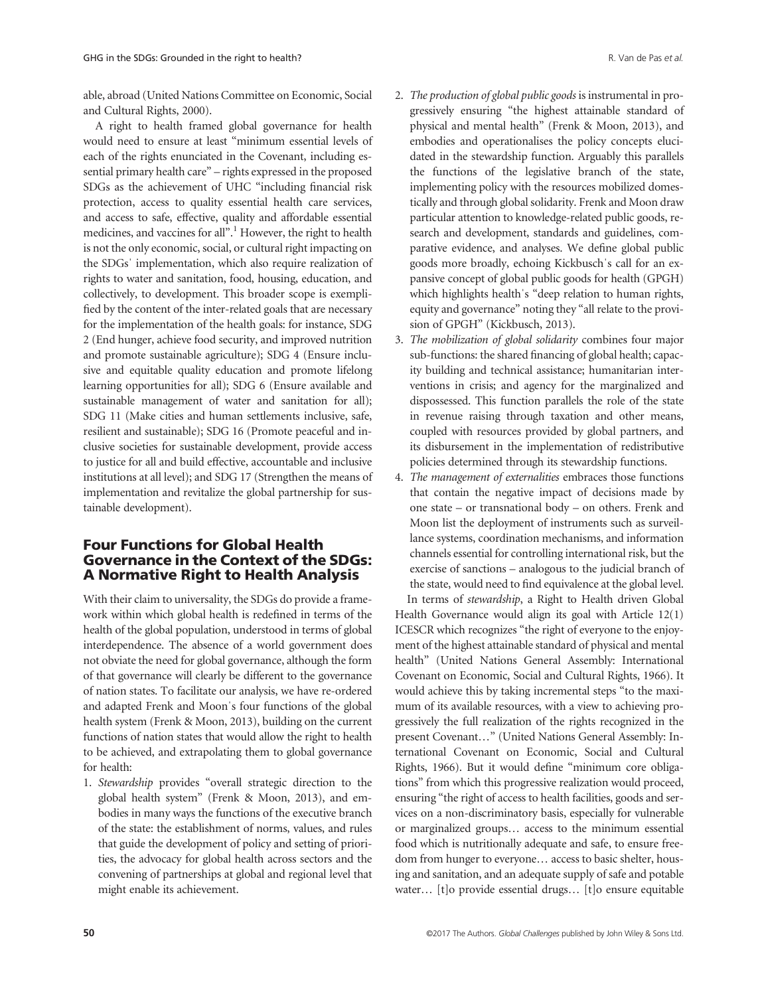able, abroad (United Nations Committee on Economic, Social and Cultural Rights, 2000).

A right to health framed global governance for health would need to ensure at least "minimum essential levels of each of the rights enunciated in the Covenant, including essential primary health care" – rights expressed in the proposed SDGs as the achievement of UHC "including financial risk protection, access to quality essential health care services, and access to safe, effective, quality and affordable essential medicines, and vaccines for all".<sup>1</sup> However, the right to health is not the only economic, social, or cultural right impacting on the SDGsˈ implementation, which also require realization of rights to water and sanitation, food, housing, education, and collectively, to development. This broader scope is exemplified by the content of the inter-related goals that are necessary for the implementation of the health goals: for instance, SDG 2 (End hunger, achieve food security, and improved nutrition and promote sustainable agriculture); SDG 4 (Ensure inclusive and equitable quality education and promote lifelong learning opportunities for all); SDG 6 (Ensure available and sustainable management of water and sanitation for all); SDG 11 (Make cities and human settlements inclusive, safe, resilient and sustainable); SDG 16 (Promote peaceful and inclusive societies for sustainable development, provide access to justice for all and build effective, accountable and inclusive institutions at all level); and SDG 17 (Strengthen the means of implementation and revitalize the global partnership for sustainable development).

# Four Functions for Global Health Governance in the Context of the SDGs: A Normative Right to Health Analysis

With their claim to universality, the SDGs do provide a framework within which global health is redefined in terms of the health of the global population, understood in terms of global interdependence. The absence of a world government does not obviate the need for global governance, although the form of that governance will clearly be different to the governance of nation states. To facilitate our analysis, we have re-ordered and adapted Frenk and Moonˈs four functions of the global health system (Frenk & Moon, 2013), building on the current functions of nation states that would allow the right to health to be achieved, and extrapolating them to global governance for health:

1. Stewardship provides "overall strategic direction to the global health system" (Frenk & Moon, 2013), and embodies in many ways the functions of the executive branch of the state: the establishment of norms, values, and rules that guide the development of policy and setting of priorities, the advocacy for global health across sectors and the convening of partnerships at global and regional level that might enable its achievement.

- 2. The production of global public goods is instrumental in progressively ensuring "the highest attainable standard of physical and mental health" (Frenk & Moon, 2013), and embodies and operationalises the policy concepts elucidated in the stewardship function. Arguably this parallels the functions of the legislative branch of the state, implementing policy with the resources mobilized domestically and through global solidarity. Frenk and Moon draw particular attention to knowledge-related public goods, research and development, standards and guidelines, comparative evidence, and analyses. We define global public goods more broadly, echoing Kickbuschˈs call for an expansive concept of global public goods for health (GPGH) which highlights health's "deep relation to human rights, equity and governance" noting they "all relate to the provision of GPGH" (Kickbusch, 2013).
- 3. The mobilization of global solidarity combines four major sub-functions: the shared financing of global health; capacity building and technical assistance; humanitarian interventions in crisis; and agency for the marginalized and dispossessed. This function parallels the role of the state in revenue raising through taxation and other means, coupled with resources provided by global partners, and its disbursement in the implementation of redistributive policies determined through its stewardship functions.
- 4. The management of externalities embraces those functions that contain the negative impact of decisions made by one state – or transnational body – on others. Frenk and Moon list the deployment of instruments such as surveillance systems, coordination mechanisms, and information channels essential for controlling international risk, but the exercise of sanctions – analogous to the judicial branch of the state, would need to find equivalence at the global level. In terms of stewardship, a Right to Health driven Global

Health Governance would align its goal with Article 12(1) ICESCR which recognizes "the right of everyone to the enjoyment of the highest attainable standard of physical and mental health" (United Nations General Assembly: International Covenant on Economic, Social and Cultural Rights, 1966). It would achieve this by taking incremental steps "to the maximum of its available resources, with a view to achieving progressively the full realization of the rights recognized in the present Covenant…" (United Nations General Assembly: International Covenant on Economic, Social and Cultural Rights, 1966). But it would define "minimum core obligations" from which this progressive realization would proceed, ensuring "the right of access to health facilities, goods and services on a non-discriminatory basis, especially for vulnerable or marginalized groups… access to the minimum essential food which is nutritionally adequate and safe, to ensure freedom from hunger to everyone… access to basic shelter, housing and sanitation, and an adequate supply of safe and potable water… [t]o provide essential drugs… [t]o ensure equitable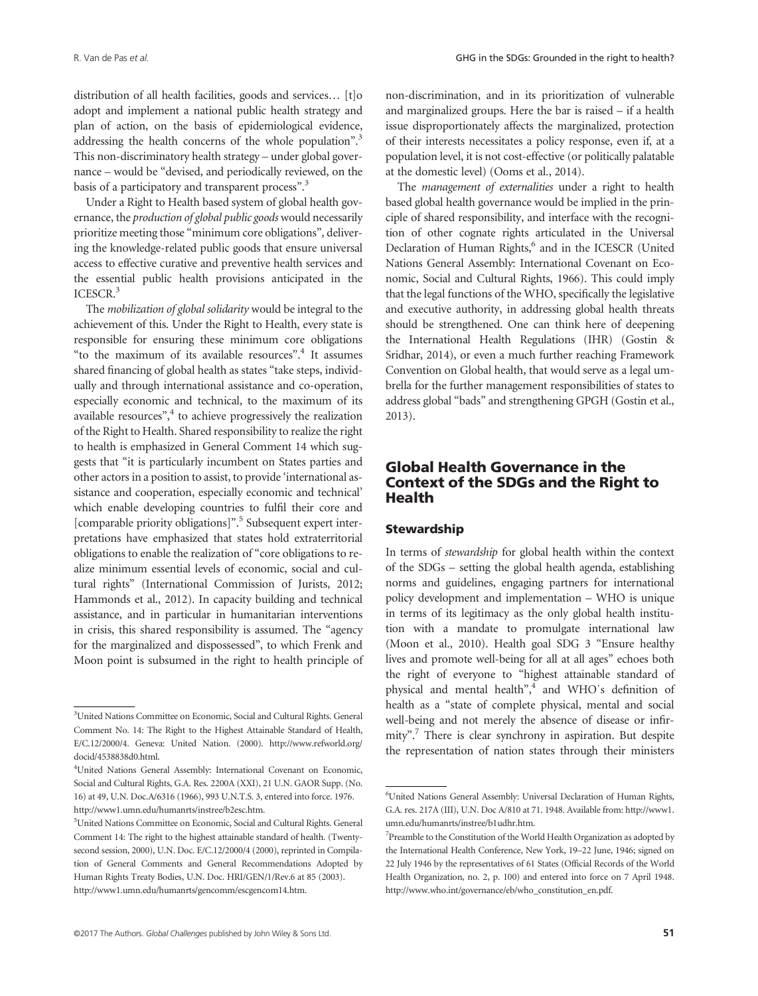distribution of all health facilities, goods and services… [t]o adopt and implement a national public health strategy and plan of action, on the basis of epidemiological evidence, addressing the health concerns of the whole population".<sup>3</sup> This non-discriminatory health strategy – under global governance – would be "devised, and periodically reviewed, on the basis of a participatory and transparent process".<sup>3</sup>

Under a Right to Health based system of global health governance, the production of global public goods would necessarily prioritize meeting those "minimum core obligations", delivering the knowledge-related public goods that ensure universal access to effective curative and preventive health services and the essential public health provisions anticipated in the ICESCR.3

The mobilization of global solidarity would be integral to the achievement of this. Under the Right to Health, every state is responsible for ensuring these minimum core obligations "to the maximum of its available resources". <sup>4</sup> It assumes shared financing of global health as states "take steps, individually and through international assistance and co-operation, especially economic and technical, to the maximum of its available resources", <sup>4</sup> to achieve progressively the realization of the Right to Health. Shared responsibility to realize the right to health is emphasized in General Comment 14 which suggests that "it is particularly incumbent on States parties and other actors in a position to assist, to provide 'international assistance and cooperation, especially economic and technical' which enable developing countries to fulfil their core and [comparable priority obligations]".<sup>5</sup> Subsequent expert interpretations have emphasized that states hold extraterritorial obligations to enable the realization of "core obligations to realize minimum essential levels of economic, social and cultural rights" (International Commission of Jurists, 2012; Hammonds et al., 2012). In capacity building and technical assistance, and in particular in humanitarian interventions in crisis, this shared responsibility is assumed. The "agency for the marginalized and dispossessed", to which Frenk and Moon point is subsumed in the right to health principle of non-discrimination, and in its prioritization of vulnerable and marginalized groups. Here the bar is raised – if a health issue disproportionately affects the marginalized, protection of their interests necessitates a policy response, even if, at a population level, it is not cost-effective (or politically palatable at the domestic level) (Ooms et al., 2014).

The management of externalities under a right to health based global health governance would be implied in the principle of shared responsibility, and interface with the recognition of other cognate rights articulated in the Universal Declaration of Human Rights,<sup>6</sup> and in the ICESCR (United Nations General Assembly: International Covenant on Economic, Social and Cultural Rights, 1966). This could imply that the legal functions of the WHO, specifically the legislative and executive authority, in addressing global health threats should be strengthened. One can think here of deepening the International Health Regulations (IHR) (Gostin & Sridhar, 2014), or even a much further reaching Framework Convention on Global health, that would serve as a legal umbrella for the further management responsibilities of states to address global "bads" and strengthening GPGH (Gostin et al., 2013).

# Global Health Governance in the Context of the SDGs and the Right to Health

## **Stewardship**

In terms of stewardship for global health within the context of the SDGs – setting the global health agenda, establishing norms and guidelines, engaging partners for international policy development and implementation – WHO is unique in terms of its legitimacy as the only global health institution with a mandate to promulgate international law (Moon et al., 2010). Health goal SDG 3 "Ensure healthy lives and promote well-being for all at all ages" echoes both the right of everyone to "highest attainable standard of physical and mental health",<sup>4</sup> and WHO's definition of health as a "state of complete physical, mental and social well-being and not merely the absence of disease or infirmity". <sup>7</sup> There is clear synchrony in aspiration. But despite the representation of nation states through their ministers

<sup>&</sup>lt;sup>3</sup>United Nations Committee on Economic, Social and Cultural Rights. General Comment No. 14: The Right to the Highest Attainable Standard of Health, E/C.12/2000/4. Geneva: United Nation. (2000). [http://www.refworld.org/](http://www.refworld.org/docid/4538838d0.html) [docid/4538838d0.html.](http://www.refworld.org/docid/4538838d0.html)

<sup>4</sup> United Nations General Assembly: International Covenant on Economic, Social and Cultural Rights, G.A. Res. 2200A (XXI), 21 U.N. GAOR Supp. (No. 16) at 49, U.N. Doc.A/6316 (1966), 993 U.N.T.S. 3, entered into force. 1976. http://www1.umn.edu/humanrts/instree/b2esc.htm.

<sup>5</sup> United Nations Committee on Economic, Social and Cultural Rights. General Comment 14: The right to the highest attainable standard of health. (Twentysecond session, 2000), U.N. Doc. E/C.12/2000/4 (2000), reprinted in Compilation of General Comments and General Recommendations Adopted by Human Rights Treaty Bodies, U.N. Doc. HRI/GEN/1/Rev.6 at 85 (2003). http://www1.umn.edu/humanrts/gencomm/escgencom14.htm.

<sup>6</sup> United Nations General Assembly: Universal Declaration of Human Rights, G.A. res. 217A (III), U.N. Doc A/810 at 71. 1948. Available from: http://www1. umn.edu/humanrts/instree/b1udhr.htm.

<sup>&</sup>lt;sup>7</sup>Preamble to the Constitution of the World Health Organization as adopted by the International Health Conference, New York, 19–22 June, 1946; signed on 22 July 1946 by the representatives of 61 States (Official Records of the World Health Organization, no. 2, p. 100) and entered into force on 7 April 1948. http://www.who.int/governance/eb/who\_constitution\_en.pdf.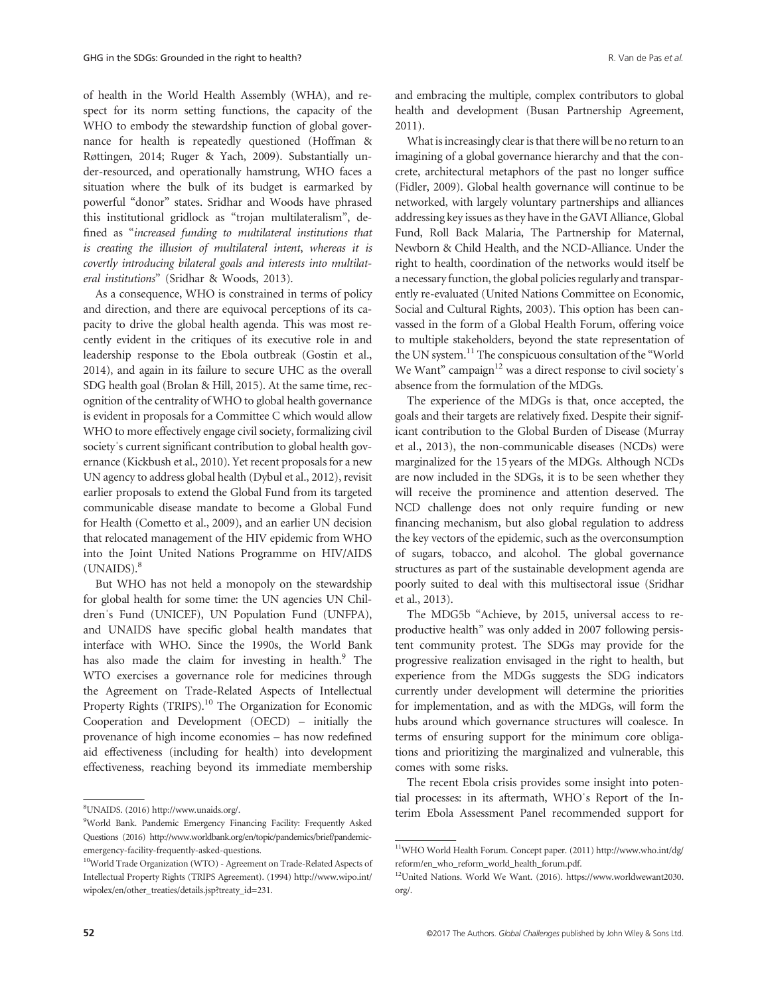of health in the World Health Assembly (WHA), and respect for its norm setting functions, the capacity of the WHO to embody the stewardship function of global governance for health is repeatedly questioned (Hoffman & Røttingen, 2014; Ruger & Yach, 2009). Substantially under-resourced, and operationally hamstrung, WHO faces a situation where the bulk of its budget is earmarked by powerful "donor" states. Sridhar and Woods have phrased this institutional gridlock as "trojan multilateralism", defined as "increased funding to multilateral institutions that is creating the illusion of multilateral intent, whereas it is covertly introducing bilateral goals and interests into multilateral institutions" (Sridhar & Woods, 2013).

As a consequence, WHO is constrained in terms of policy and direction, and there are equivocal perceptions of its capacity to drive the global health agenda. This was most recently evident in the critiques of its executive role in and leadership response to the Ebola outbreak (Gostin et al., 2014), and again in its failure to secure UHC as the overall SDG health goal (Brolan & Hill, 2015). At the same time, recognition of the centrality of WHO to global health governance is evident in proposals for a Committee C which would allow WHO to more effectively engage civil society, formalizing civil society's current significant contribution to global health governance (Kickbush et al., 2010). Yet recent proposals for a new UN agency to address global health (Dybul et al., 2012), revisit earlier proposals to extend the Global Fund from its targeted communicable disease mandate to become a Global Fund for Health (Cometto et al., 2009), and an earlier UN decision that relocated management of the HIV epidemic from WHO into the Joint United Nations Programme on HIV/AIDS  $(UNAIDS).<sup>8</sup>$ 

But WHO has not held a monopoly on the stewardship for global health for some time: the UN agencies UN Childrenˈs Fund (UNICEF), UN Population Fund (UNFPA), and UNAIDS have specific global health mandates that interface with WHO. Since the 1990s, the World Bank has also made the claim for investing in health.<sup>9</sup> The WTO exercises a governance role for medicines through the Agreement on Trade-Related Aspects of Intellectual Property Rights (TRIPS).<sup>10</sup> The Organization for Economic Cooperation and Development (OECD) – initially the provenance of high income economies – has now redefined aid effectiveness (including for health) into development effectiveness, reaching beyond its immediate membership

and embracing the multiple, complex contributors to global health and development (Busan Partnership Agreement, 2011).

What is increasingly clear is that there will be no return to an imagining of a global governance hierarchy and that the concrete, architectural metaphors of the past no longer suffice (Fidler, 2009). Global health governance will continue to be networked, with largely voluntary partnerships and alliances addressing key issues as they have in the GAVI Alliance, Global Fund, Roll Back Malaria, The Partnership for Maternal, Newborn & Child Health, and the NCD-Alliance. Under the right to health, coordination of the networks would itself be a necessary function, the global policies regularly and transparently re-evaluated (United Nations Committee on Economic, Social and Cultural Rights, 2003). This option has been canvassed in the form of a Global Health Forum, offering voice to multiple stakeholders, beyond the state representation of the UN system.<sup>11</sup> The conspicuous consultation of the "World" We Want" campaign $12$  was a direct response to civil society's absence from the formulation of the MDGs.

The experience of the MDGs is that, once accepted, the goals and their targets are relatively fixed. Despite their significant contribution to the Global Burden of Disease (Murray et al., 2013), the non-communicable diseases (NCDs) were marginalized for the 15 years of the MDGs. Although NCDs are now included in the SDGs, it is to be seen whether they will receive the prominence and attention deserved. The NCD challenge does not only require funding or new financing mechanism, but also global regulation to address the key vectors of the epidemic, such as the overconsumption of sugars, tobacco, and alcohol. The global governance structures as part of the sustainable development agenda are poorly suited to deal with this multisectoral issue (Sridhar et al., 2013).

The MDG5b "Achieve, by 2015, universal access to reproductive health" was only added in 2007 following persistent community protest. The SDGs may provide for the progressive realization envisaged in the right to health, but experience from the MDGs suggests the SDG indicators currently under development will determine the priorities for implementation, and as with the MDGs, will form the hubs around which governance structures will coalesce. In terms of ensuring support for the minimum core obligations and prioritizing the marginalized and vulnerable, this comes with some risks.

The recent Ebola crisis provides some insight into potential processes: in its aftermath, WHOˈs Report of the Interim Ebola Assessment Panel recommended support for

UNAIDS. (2016) http://www.unaids.org/.

<sup>9</sup> World Bank. Pandemic Emergency Financing Facility: Frequently Asked Questions (2016) http://www.worldbank.org/en/topic/pandemics/brief/pandemicemergency-facility-frequently-asked-questions.

<sup>10</sup>World Trade Organization (WTO) - Agreement on Trade-Related Aspects of Intellectual Property Rights (TRIPS Agreement). (1994) http://www.wipo.int/ wipolex/en/other\_treaties/details.jsp?treaty\_id=231.

<sup>11</sup>WHO World Health Forum. Concept paper. (2011) http://www.who.int/dg/ reform/en\_who\_reform\_world\_health\_forum.pdf.

<sup>12</sup>United Nations. World We Want. (2016). https://www.worldwewant2030. org/.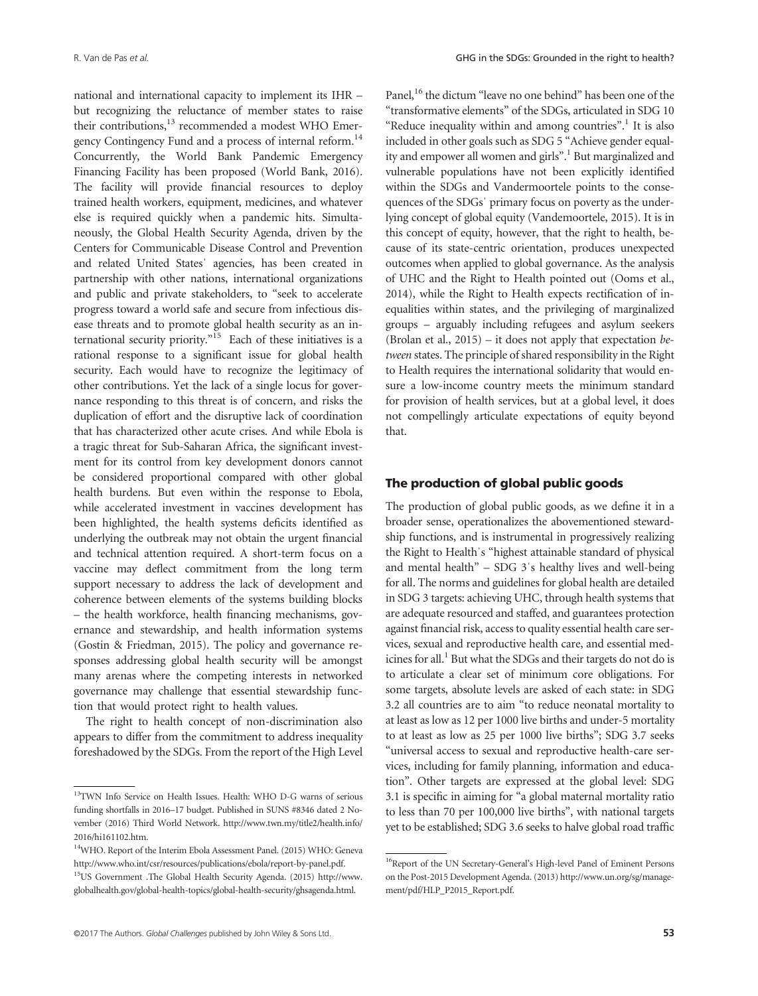national and international capacity to implement its IHR – but recognizing the reluctance of member states to raise their contributions,<sup>13</sup> recommended a modest WHO Emergency Contingency Fund and a process of internal reform.14 Concurrently, the World Bank Pandemic Emergency Financing Facility has been proposed (World Bank, 2016). The facility will provide financial resources to deploy trained health workers, equipment, medicines, and whatever else is required quickly when a pandemic hits. Simultaneously, the Global Health Security Agenda, driven by the Centers for Communicable Disease Control and Prevention and related United Statesˈ agencies, has been created in partnership with other nations, international organizations and public and private stakeholders, to "seek to accelerate progress toward a world safe and secure from infectious disease threats and to promote global health security as an international security priority." <sup>15</sup> Each of these initiatives is a rational response to a significant issue for global health security. Each would have to recognize the legitimacy of other contributions. Yet the lack of a single locus for governance responding to this threat is of concern, and risks the duplication of effort and the disruptive lack of coordination that has characterized other acute crises. And while Ebola is a tragic threat for Sub-Saharan Africa, the significant investment for its control from key development donors cannot be considered proportional compared with other global health burdens. But even within the response to Ebola, while accelerated investment in vaccines development has been highlighted, the health systems deficits identified as underlying the outbreak may not obtain the urgent financial and technical attention required. A short-term focus on a vaccine may deflect commitment from the long term support necessary to address the lack of development and coherence between elements of the systems building blocks – the health workforce, health financing mechanisms, governance and stewardship, and health information systems (Gostin & Friedman, 2015). The policy and governance responses addressing global health security will be amongst many arenas where the competing interests in networked governance may challenge that essential stewardship function that would protect right to health values.

The right to health concept of non-discrimination also appears to differ from the commitment to address inequality foreshadowed by the SDGs. From the report of the High Level Panel,<sup>16</sup> the dictum "leave no one behind" has been one of the "transformative elements" of the SDGs, articulated in SDG 10 "Reduce inequality within and among countries".<sup>1</sup> It is also included in other goals such as SDG 5 "Achieve gender equality and empower all women and girls".<sup>1</sup> But marginalized and vulnerable populations have not been explicitly identified within the SDGs and Vandermoortele points to the consequences of the SDGsˈ primary focus on poverty as the underlying concept of global equity (Vandemoortele, 2015). It is in this concept of equity, however, that the right to health, because of its state-centric orientation, produces unexpected outcomes when applied to global governance. As the analysis of UHC and the Right to Health pointed out (Ooms et al., 2014), while the Right to Health expects rectification of inequalities within states, and the privileging of marginalized groups – arguably including refugees and asylum seekers (Brolan et al.,  $2015$ ) – it does not apply that expectation between states. The principle of shared responsibility in the Right to Health requires the international solidarity that would ensure a low-income country meets the minimum standard for provision of health services, but at a global level, it does not compellingly articulate expectations of equity beyond that.

### The production of global public goods

The production of global public goods, as we define it in a broader sense, operationalizes the abovementioned stewardship functions, and is instrumental in progressively realizing the Right to Healthˈs "highest attainable standard of physical and mental health" – SDG 3ˈs healthy lives and well-being for all. The norms and guidelines for global health are detailed in SDG 3 targets: achieving UHC, through health systems that are adequate resourced and staffed, and guarantees protection against financial risk, access to quality essential health care services, sexual and reproductive health care, and essential medicines for all.<sup>1</sup> But what the SDGs and their targets do not do is to articulate a clear set of minimum core obligations. For some targets, absolute levels are asked of each state: in SDG 3.2 all countries are to aim "to reduce neonatal mortality to at least as low as 12 per 1000 live births and under-5 mortality to at least as low as 25 per 1000 live births"; SDG 3.7 seeks "universal access to sexual and reproductive health-care services, including for family planning, information and education". Other targets are expressed at the global level: SDG 3.1 is specific in aiming for "a global maternal mortality ratio to less than 70 per 100,000 live births", with national targets yet to be established; SDG 3.6 seeks to halve global road traffic

<sup>13</sup>TWN Info Service on Health Issues. Health: WHO D-G warns of serious funding shortfalls in 2016–17 budget. Published in SUNS #8346 dated 2 November (2016) Third World Network. [http://www.twn.my/title2/health.info/](http://www.twn.my/title2/health.info/2016/hi161102.htm) [2016/hi161102.htm.](http://www.twn.my/title2/health.info/2016/hi161102.htm)

<sup>&</sup>lt;sup>14</sup>WHO. Report of the Interim Ebola Assessment Panel. (2015) WHO: Geneva [http://www.who.int/csr/resources/publications/ebola/report-by-panel.pdf.](http://www.who.int/csr/resources/publications/ebola/report-by-panel.pdf)

<sup>15</sup>US Government .The Global Health Security Agenda. (2015) [http://www.](http://www.globalhealth.gov/global-health-topics/global-health-security/ghsagenda.html) [globalhealth.gov/global-health-topics/global-health-security/ghsagenda.html](http://www.globalhealth.gov/global-health-topics/global-health-security/ghsagenda.html).

<sup>&</sup>lt;sup>16</sup>Report of the UN Secretary-General's High-level Panel of Eminent Persons on the Post-2015 Development Agenda. (2013) http://www.un.org/sg/management/pdf/HLP\_P2015\_Report.pdf.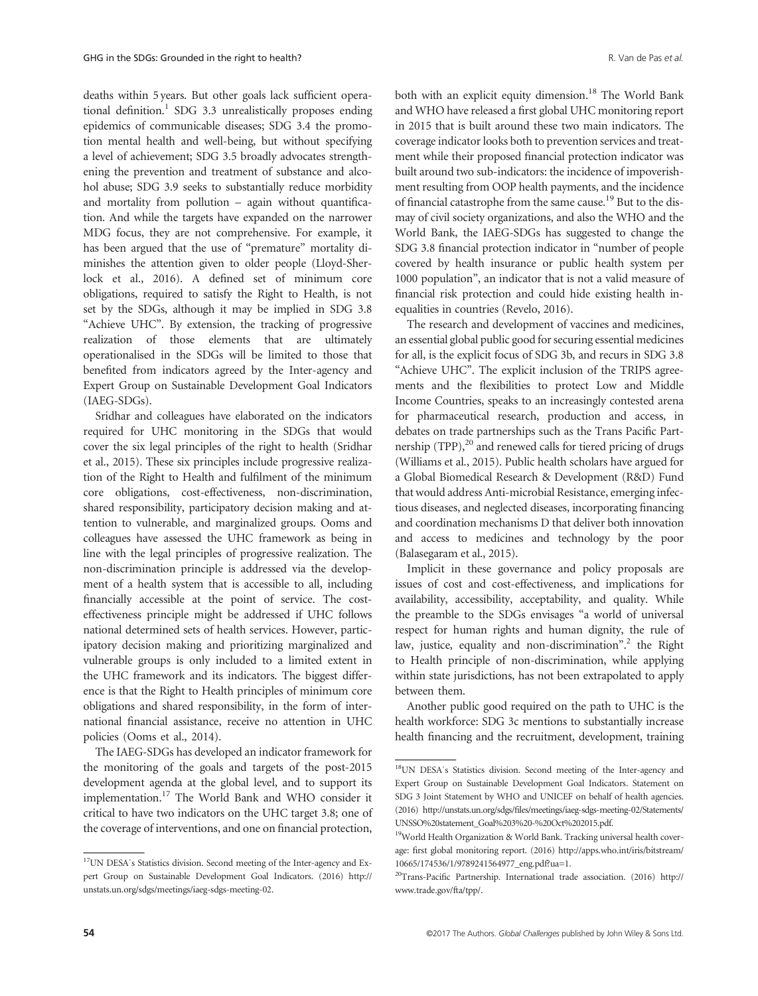deaths within 5 years. But other goals lack sufficient operational definition.<sup>1</sup> SDG 3.3 unrealistically proposes ending epidemics of communicable diseases; SDG 3.4 the promotion mental health and well-being, but without specifying a level of achievement; SDG 3.5 broadly advocates strengthening the prevention and treatment of substance and alcohol abuse; SDG 3.9 seeks to substantially reduce morbidity and mortality from pollution – again without quantification. And while the targets have expanded on the narrower MDG focus, they are not comprehensive. For example, it has been argued that the use of "premature" mortality diminishes the attention given to older people (Lloyd-Sherlock et al., 2016). A defined set of minimum core obligations, required to satisfy the Right to Health, is not set by the SDGs, although it may be implied in SDG 3.8 "Achieve UHC". By extension, the tracking of progressive realization of those elements that are ultimately operationalised in the SDGs will be limited to those that benefited from indicators agreed by the Inter-agency and Expert Group on Sustainable Development Goal Indicators (IAEG-SDGs).

Sridhar and colleagues have elaborated on the indicators required for UHC monitoring in the SDGs that would cover the six legal principles of the right to health (Sridhar et al., 2015). These six principles include progressive realization of the Right to Health and fulfilment of the minimum core obligations, cost-effectiveness, non-discrimination, shared responsibility, participatory decision making and attention to vulnerable, and marginalized groups. Ooms and colleagues have assessed the UHC framework as being in line with the legal principles of progressive realization. The non-discrimination principle is addressed via the development of a health system that is accessible to all, including financially accessible at the point of service. The costeffectiveness principle might be addressed if UHC follows national determined sets of health services. However, participatory decision making and prioritizing marginalized and vulnerable groups is only included to a limited extent in the UHC framework and its indicators. The biggest difference is that the Right to Health principles of minimum core obligations and shared responsibility, in the form of international financial assistance, receive no attention in UHC policies (Ooms et al., 2014).

The IAEG-SDGs has developed an indicator framework for the monitoring of the goals and targets of the post-2015 development agenda at the global level, and to support its implementation.17 The World Bank and WHO consider it critical to have two indicators on the UHC target 3.8; one of the coverage of interventions, and one on financial protection,

both with an explicit equity dimension.<sup>18</sup> The World Bank and WHO have released a first global UHC monitoring report in 2015 that is built around these two main indicators. The coverage indicator looks both to prevention services and treatment while their proposed financial protection indicator was built around two sub-indicators: the incidence of impoverishment resulting from OOP health payments, and the incidence of financial catastrophe from the same cause.19 But to the dismay of civil society organizations, and also the WHO and the World Bank, the IAEG-SDGs has suggested to change the SDG 3.8 financial protection indicator in "number of people covered by health insurance or public health system per 1000 population", an indicator that is not a valid measure of financial risk protection and could hide existing health inequalities in countries (Revelo, 2016).

The research and development of vaccines and medicines, an essential global public good for securing essential medicines for all, is the explicit focus of SDG 3b, and recurs in SDG 3.8 "Achieve UHC". The explicit inclusion of the TRIPS agreements and the flexibilities to protect Low and Middle Income Countries, speaks to an increasingly contested arena for pharmaceutical research, production and access, in debates on trade partnerships such as the Trans Pacific Partnership  $(TPP)$ ,<sup>20</sup> and renewed calls for tiered pricing of drugs (Williams et al., 2015). Public health scholars have argued for a Global Biomedical Research & Development (R&D) Fund that would address Anti-microbial Resistance, emerging infectious diseases, and neglected diseases, incorporating financing and coordination mechanisms D that deliver both innovation and access to medicines and technology by the poor (Balasegaram et al., 2015).

Implicit in these governance and policy proposals are issues of cost and cost-effectiveness, and implications for availability, accessibility, acceptability, and quality. While the preamble to the SDGs envisages "a world of universal respect for human rights and human dignity, the rule of law, justice, equality and non-discrimination". <sup>2</sup> the Right to Health principle of non-discrimination, while applying within state jurisdictions, has not been extrapolated to apply between them.

Another public good required on the path to UHC is the health workforce: SDG 3c mentions to substantially increase health financing and the recruitment, development, training

<sup>&</sup>lt;sup>17</sup>UN DESA's Statistics division. Second meeting of the Inter-agency and Expert Group on Sustainable Development Goal Indicators. (2016) http:// unstats.un.org/sdgs/meetings/iaeg-sdgs-meeting-02.

<sup>&</sup>lt;sup>18</sup>UN DESA's Statistics division. Second meeting of the Inter-agency and Expert Group on Sustainable Development Goal Indicators. Statement on SDG 3 Joint Statement by WHO and UNICEF on behalf of health agencies. (2016) http://unstats.un.org/sdgs/files/meetings/iaeg-sdgs-meeting-02/Statements/ UNSSO%20statement\_Goal%203%20-%20Oct%202015.pdf.

<sup>&</sup>lt;sup>19</sup>World Health Organization & World Bank. Tracking universal health coverage: first global monitoring report. (2016) [http://apps.who.int/iris/bitstream/](http://apps.who.int/iris/bitstream/10665/174536/1/9789241564977_eng.pdf?ua=1) [10665/174536/1/9789241564977\\_eng.pdf?ua=1](http://apps.who.int/iris/bitstream/10665/174536/1/9789241564977_eng.pdf?ua=1).

<sup>20</sup>Trans-Pacific Partnership. International trade association. (2016) [http://](http://www.trade.gov/fta/tpp/) [www.trade.gov/fta/tpp/.](http://www.trade.gov/fta/tpp/)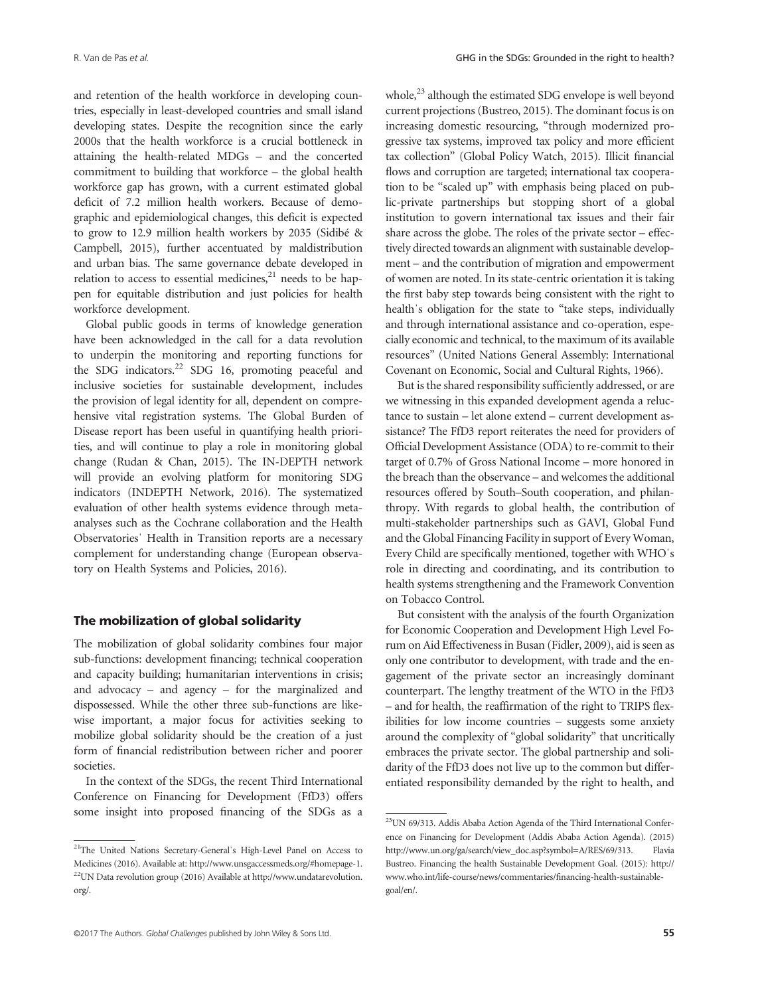and retention of the health workforce in developing countries, especially in least-developed countries and small island developing states. Despite the recognition since the early 2000s that the health workforce is a crucial bottleneck in attaining the health-related MDGs – and the concerted commitment to building that workforce – the global health workforce gap has grown, with a current estimated global deficit of 7.2 million health workers. Because of demographic and epidemiological changes, this deficit is expected to grow to 12.9 million health workers by 2035 (Sidibé & Campbell, 2015), further accentuated by maldistribution and urban bias. The same governance debate developed in relation to access to essential medicines, $21$  needs to be happen for equitable distribution and just policies for health workforce development.

Global public goods in terms of knowledge generation have been acknowledged in the call for a data revolution to underpin the monitoring and reporting functions for the SDG indicators. $^{22}$  SDG 16, promoting peaceful and inclusive societies for sustainable development, includes the provision of legal identity for all, dependent on comprehensive vital registration systems. The Global Burden of Disease report has been useful in quantifying health priorities, and will continue to play a role in monitoring global change (Rudan & Chan, 2015). The IN-DEPTH network will provide an evolving platform for monitoring SDG indicators (INDEPTH Network, 2016). The systematized evaluation of other health systems evidence through metaanalyses such as the Cochrane collaboration and the Health Observatoriesˈ Health in Transition reports are a necessary complement for understanding change (European observatory on Health Systems and Policies, 2016).

## The mobilization of global solidarity

The mobilization of global solidarity combines four major sub-functions: development financing; technical cooperation and capacity building; humanitarian interventions in crisis; and advocacy – and agency – for the marginalized and dispossessed. While the other three sub-functions are likewise important, a major focus for activities seeking to mobilize global solidarity should be the creation of a just form of financial redistribution between richer and poorer societies.

In the context of the SDGs, the recent Third International Conference on Financing for Development (FfD3) offers some insight into proposed financing of the SDGs as a whole,<sup>23</sup> although the estimated SDG envelope is well beyond current projections (Bustreo, 2015). The dominant focus is on increasing domestic resourcing, "through modernized progressive tax systems, improved tax policy and more efficient tax collection" (Global Policy Watch, 2015). Illicit financial flows and corruption are targeted; international tax cooperation to be "scaled up" with emphasis being placed on public-private partnerships but stopping short of a global institution to govern international tax issues and their fair share across the globe. The roles of the private sector – effectively directed towards an alignment with sustainable development – and the contribution of migration and empowerment of women are noted. In its state-centric orientation it is taking the first baby step towards being consistent with the right to health's obligation for the state to "take steps, individually and through international assistance and co-operation, especially economic and technical, to the maximum of its available resources" (United Nations General Assembly: International Covenant on Economic, Social and Cultural Rights, 1966).

But is the shared responsibility sufficiently addressed, or are we witnessing in this expanded development agenda a reluctance to sustain – let alone extend – current development assistance? The FfD3 report reiterates the need for providers of Official Development Assistance (ODA) to re-commit to their target of 0.7% of Gross National Income – more honored in the breach than the observance – and welcomes the additional resources offered by South–South cooperation, and philanthropy. With regards to global health, the contribution of multi-stakeholder partnerships such as GAVI, Global Fund and the Global Financing Facility in support of Every Woman, Every Child are specifically mentioned, together with WHOˈs role in directing and coordinating, and its contribution to health systems strengthening and the Framework Convention on Tobacco Control.

But consistent with the analysis of the fourth Organization for Economic Cooperation and Development High Level Forum on Aid Effectiveness in Busan (Fidler, 2009), aid is seen as only one contributor to development, with trade and the engagement of the private sector an increasingly dominant counterpart. The lengthy treatment of the WTO in the FfD3 – and for health, the reaffirmation of the right to TRIPS flexibilities for low income countries – suggests some anxiety around the complexity of "global solidarity" that uncritically embraces the private sector. The global partnership and solidarity of the FfD3 does not live up to the common but differentiated responsibility demanded by the right to health, and

<sup>&</sup>lt;sup>21</sup>The United Nations Secretary-General's High-Level Panel on Access to Medicines (2016). Available at: http://www.unsgaccessmeds.org/#homepage-1. 22UN Data revolution group (2016) Available at http://www.undatarevolution. org/.

<sup>23</sup>UN 69/313. Addis Ababa Action Agenda of the Third International Conference on Financing for Development (Addis Ababa Action Agenda). (2015) [http://www.un.org/ga/search/view\\_doc.asp?symbol=A/RES/69/313.](http://www.un.org/ga/search/view_doc.asp?symbol=A/RES/69/313) Flavia Bustreo. Financing the health Sustainable Development Goal. (2015): [http://](http://www.who.int/life-course/news/commentaries/financing-health-sustainable-goal/en/) [www.who.int/life-course/news/commentaries/](http://www.who.int/life-course/news/commentaries/financing-health-sustainable-goal/en/)financing-health-sustainable[goal/en/](http://www.who.int/life-course/news/commentaries/financing-health-sustainable-goal/en/).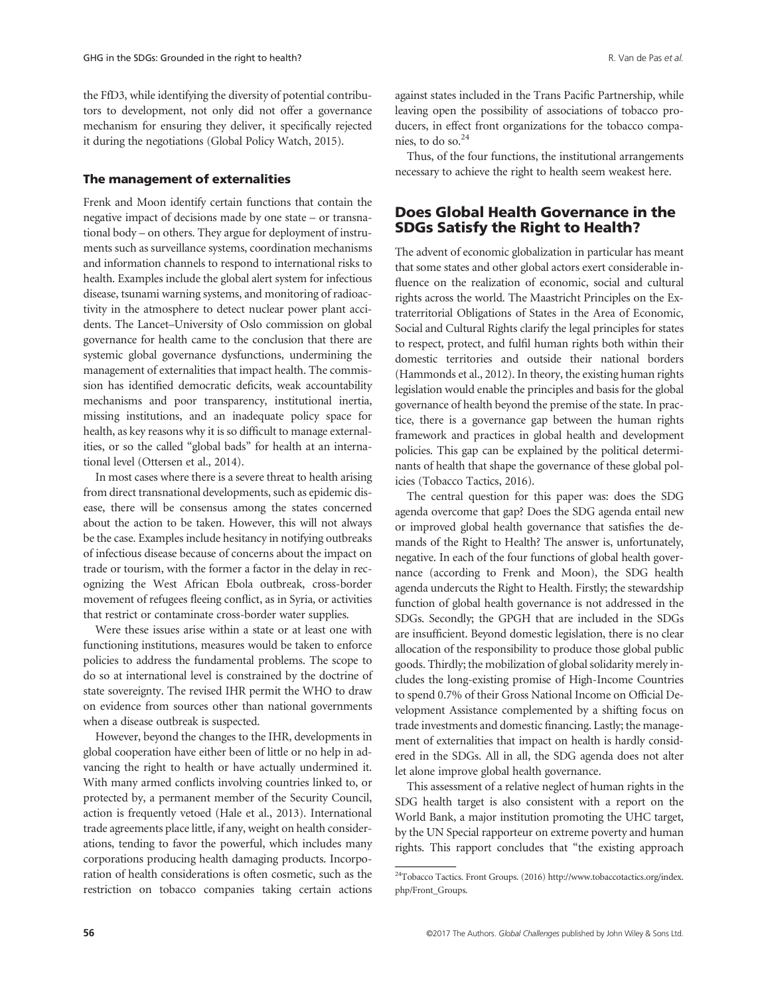the FfD3, while identifying the diversity of potential contributors to development, not only did not offer a governance mechanism for ensuring they deliver, it specifically rejected it during the negotiations (Global Policy Watch, 2015).

### The management of externalities

Frenk and Moon identify certain functions that contain the negative impact of decisions made by one state – or transnational body – on others. They argue for deployment of instruments such as surveillance systems, coordination mechanisms and information channels to respond to international risks to health. Examples include the global alert system for infectious disease, tsunami warning systems, and monitoring of radioactivity in the atmosphere to detect nuclear power plant accidents. The Lancet–University of Oslo commission on global governance for health came to the conclusion that there are systemic global governance dysfunctions, undermining the management of externalities that impact health. The commission has identified democratic deficits, weak accountability mechanisms and poor transparency, institutional inertia, missing institutions, and an inadequate policy space for health, as key reasons why it is so difficult to manage externalities, or so the called "global bads" for health at an international level (Ottersen et al., 2014).

In most cases where there is a severe threat to health arising from direct transnational developments, such as epidemic disease, there will be consensus among the states concerned about the action to be taken. However, this will not always be the case. Examples include hesitancy in notifying outbreaks of infectious disease because of concerns about the impact on trade or tourism, with the former a factor in the delay in recognizing the West African Ebola outbreak, cross-border movement of refugees fleeing conflict, as in Syria, or activities that restrict or contaminate cross-border water supplies.

Were these issues arise within a state or at least one with functioning institutions, measures would be taken to enforce policies to address the fundamental problems. The scope to do so at international level is constrained by the doctrine of state sovereignty. The revised IHR permit the WHO to draw on evidence from sources other than national governments when a disease outbreak is suspected.

However, beyond the changes to the IHR, developments in global cooperation have either been of little or no help in advancing the right to health or have actually undermined it. With many armed conflicts involving countries linked to, or protected by, a permanent member of the Security Council, action is frequently vetoed (Hale et al., 2013). International trade agreements place little, if any, weight on health considerations, tending to favor the powerful, which includes many corporations producing health damaging products. Incorporation of health considerations is often cosmetic, such as the restriction on tobacco companies taking certain actions against states included in the Trans Pacific Partnership, while leaving open the possibility of associations of tobacco producers, in effect front organizations for the tobacco companies, to do so.24

Thus, of the four functions, the institutional arrangements necessary to achieve the right to health seem weakest here.

# Does Global Health Governance in the SDGs Satisfy the Right to Health?

The advent of economic globalization in particular has meant that some states and other global actors exert considerable influence on the realization of economic, social and cultural rights across the world. The Maastricht Principles on the Extraterritorial Obligations of States in the Area of Economic, Social and Cultural Rights clarify the legal principles for states to respect, protect, and fulfil human rights both within their domestic territories and outside their national borders (Hammonds et al., 2012). In theory, the existing human rights legislation would enable the principles and basis for the global governance of health beyond the premise of the state. In practice, there is a governance gap between the human rights framework and practices in global health and development policies. This gap can be explained by the political determinants of health that shape the governance of these global policies (Tobacco Tactics, 2016).

The central question for this paper was: does the SDG agenda overcome that gap? Does the SDG agenda entail new or improved global health governance that satisfies the demands of the Right to Health? The answer is, unfortunately, negative. In each of the four functions of global health governance (according to Frenk and Moon), the SDG health agenda undercuts the Right to Health. Firstly; the stewardship function of global health governance is not addressed in the SDGs. Secondly; the GPGH that are included in the SDGs are insufficient. Beyond domestic legislation, there is no clear allocation of the responsibility to produce those global public goods. Thirdly; the mobilization of global solidarity merely includes the long-existing promise of High-Income Countries to spend 0.7% of their Gross National Income on Official Development Assistance complemented by a shifting focus on trade investments and domestic financing. Lastly; the management of externalities that impact on health is hardly considered in the SDGs. All in all, the SDG agenda does not alter let alone improve global health governance.

This assessment of a relative neglect of human rights in the SDG health target is also consistent with a report on the World Bank, a major institution promoting the UHC target, by the UN Special rapporteur on extreme poverty and human rights. This rapport concludes that "the existing approach

<sup>&</sup>lt;sup>24</sup>Tobacco Tactics. Front Groups. (2016) [http://www.tobaccotactics.org/index.](http://www.tobaccotactics.org/index.php/Front_Groups) [php/Front\\_Groups.](http://www.tobaccotactics.org/index.php/Front_Groups)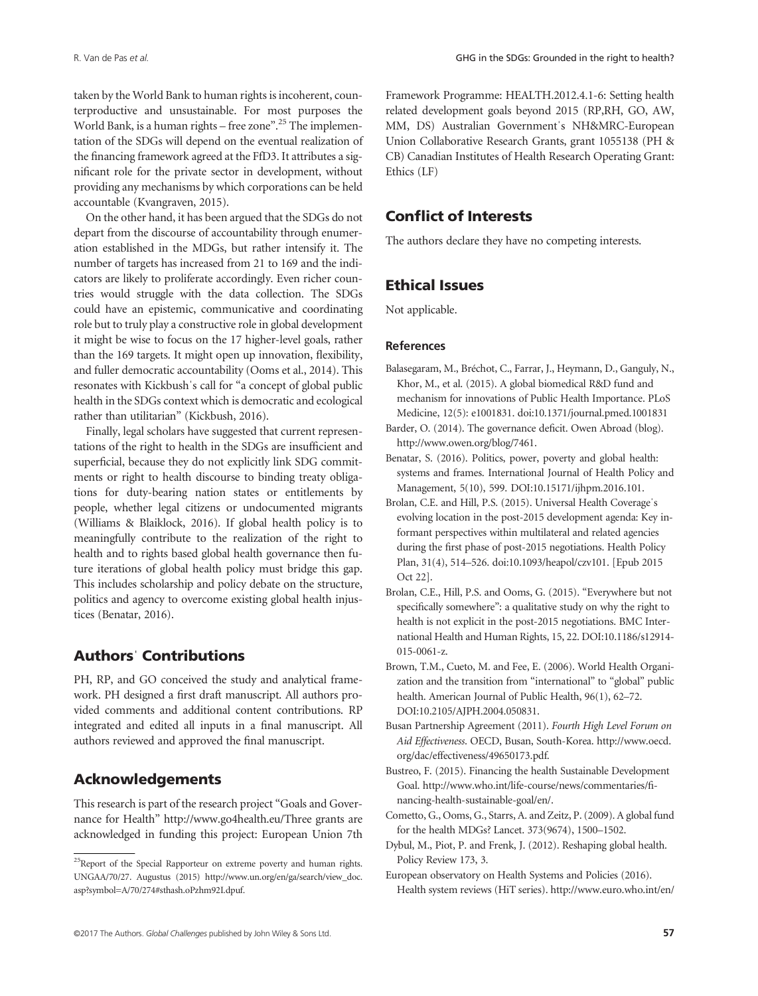taken by the World Bank to human rights is incoherent, counterproductive and unsustainable. For most purposes the World Bank, is a human rights - free zone".<sup>25</sup> The implementation of the SDGs will depend on the eventual realization of the financing framework agreed at the FfD3. It attributes a significant role for the private sector in development, without providing any mechanisms by which corporations can be held accountable (Kvangraven, 2015).

On the other hand, it has been argued that the SDGs do not depart from the discourse of accountability through enumeration established in the MDGs, but rather intensify it. The number of targets has increased from 21 to 169 and the indicators are likely to proliferate accordingly. Even richer countries would struggle with the data collection. The SDGs could have an epistemic, communicative and coordinating role but to truly play a constructive role in global development it might be wise to focus on the 17 higher-level goals, rather than the 169 targets. It might open up innovation, flexibility, and fuller democratic accountability (Ooms et al., 2014). This resonates with Kickbushˈs call for "a concept of global public health in the SDGs context which is democratic and ecological rather than utilitarian" (Kickbush, 2016).

Finally, legal scholars have suggested that current representations of the right to health in the SDGs are insufficient and superficial, because they do not explicitly link SDG commitments or right to health discourse to binding treaty obligations for duty-bearing nation states or entitlements by people, whether legal citizens or undocumented migrants (Williams & Blaiklock, 2016). If global health policy is to meaningfully contribute to the realization of the right to health and to rights based global health governance then future iterations of global health policy must bridge this gap. This includes scholarship and policy debate on the structure, politics and agency to overcome existing global health injustices (Benatar, 2016).

# Authorsˈ Contributions

PH, RP, and GO conceived the study and analytical framework. PH designed a first draft manuscript. All authors provided comments and additional content contributions. RP integrated and edited all inputs in a final manuscript. All authors reviewed and approved the final manuscript.

# Acknowledgements

This research is part of the research project "Goals and Governance for Health" <http://www.go4health.eu>/Three grants are acknowledged in funding this project: European Union 7th Framework Programme: HEALTH.2012.4.1-6: Setting health related development goals beyond 2015 (RP,RH, GO, AW, MM, DS) Australian Governmentˈs NH&MRC-European Union Collaborative Research Grants, grant 1055138 (PH & CB) Canadian Institutes of Health Research Operating Grant: Ethics (LF)

# Conflict of Interests

The authors declare they have no competing interests.

# Ethical Issues

Not applicable.

## References

- Balasegaram, M., Bréchot, C., Farrar, J., Heymann, D., Ganguly, N., Khor, M., et al. (2015). A global biomedical R&D fund and mechanism for innovations of Public Health Importance. PLoS Medicine, 12(5): e1001831. doi:10.1371/journal.pmed.1001831
- Barder, O. (2014). The governance deficit. Owen Abroad (blog). <http://www.owen.org/blog/7461>.
- Benatar, S. (2016). Politics, power, poverty and global health: systems and frames. International Journal of Health Policy and Management, 5(10), 599. DOI:[10.15171/ijhpm.2016.101.](http://doi.org/10.15171/ijhpm.2016.101)
- Brolan, C.E. and Hill, P.S. (2015). Universal Health Coverageˈs evolving location in the post-2015 development agenda: Key informant perspectives within multilateral and related agencies during the first phase of post-2015 negotiations. Health Policy Plan, 31(4), 514–526. doi[:10.1093/heapol/czv101. \[Epub 2015](http://doi.org/10.1093/heapol/czv101) [Oct 22\].](http://doi.org/10.1093/heapol/czv101)
- Brolan, C.E., Hill, P.S. and Ooms, G. (2015). "Everywhere but not specifically somewhere": a qualitative study on why the right to health is not explicit in the post-2015 negotiations. BMC International Health and Human Rights, 15, 22. DOI:[10.1186/s12914-](http://doi.org/10.1186/s12914-015-0061-z) [015-0061-z.](http://doi.org/10.1186/s12914-015-0061-z)
- Brown, T.M., Cueto, M. and Fee, E. (2006). World Health Organization and the transition from "international" to "global" public health. American Journal of Public Health, 96(1), 62–72. DOI:10.2105/AJPH.2004.050831.
- Busan Partnership Agreement (2011). Fourth High Level Forum on Aid Effectiveness. OECD, Busan, South-Korea. [http://www.oecd.](http://www.oecd.org/dac/effectiveness/49650173.pdf) [org/dac/effectiveness/49650173.pdf.](http://www.oecd.org/dac/effectiveness/49650173.pdf)
- Bustreo, F. (2015). Financing the health Sustainable Development Goal. [http://www.who.int/life-course/news/commentaries/](http://www.who.int/life-course/news/commentaries/financing-health-sustainable-goal/en/)fi[nancing-health-sustainable-goal/en/](http://www.who.int/life-course/news/commentaries/financing-health-sustainable-goal/en/).
- Cometto, G., Ooms, G., Starrs, A. and Zeitz, P. (2009). A global fund for the health MDGs? Lancet. 373(9674), 1500–1502.
- Dybul, M., Piot, P. and Frenk, J. (2012). Reshaping global health. Policy Review 173, 3.
- European observatory on Health Systems and Policies (2016). Health system reviews (HiT series). [http://www.euro.who.int/en/](http://www.euro.who.int/en/about-us/partners/observatory/publications/health-system-reviews-hits)

<sup>&</sup>lt;sup>25</sup>Report of the Special Rapporteur on extreme poverty and human rights. UNGAA/70/27. Augustus (2015) [http://www.un.org/en/ga/search/view\\_doc.](http://www.un.org/en/ga/search/view_doc.asp?symbol=A/70/274#sthash.oPzhm92I.dpuf) [asp?symbol=A/70/274#sthash.oPzhm92I.dpuf.](http://www.un.org/en/ga/search/view_doc.asp?symbol=A/70/274#sthash.oPzhm92I.dpuf)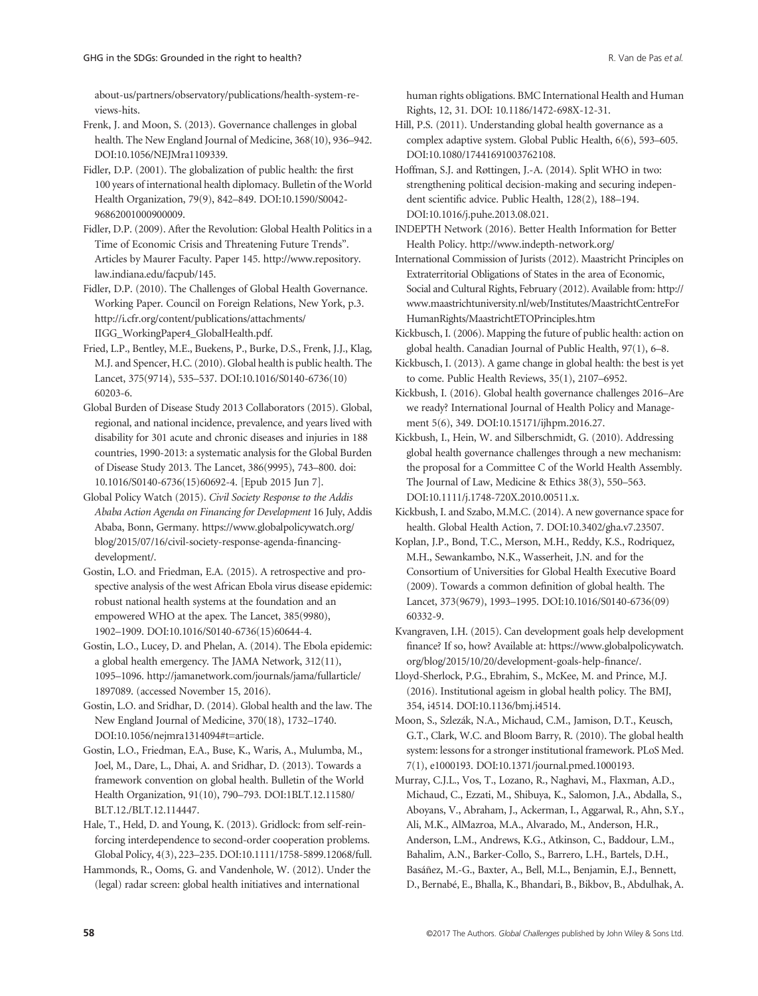[about-us/partners/observatory/publications/health-system-re](http://www.euro.who.int/en/about-us/partners/observatory/publications/health-system-reviews-hits)[views-hits](http://www.euro.who.int/en/about-us/partners/observatory/publications/health-system-reviews-hits).

Frenk, J. and Moon, S. (2013). Governance challenges in global health. The New England Journal of Medicine, 368(10), 936–942. DOI:[10.1056/NEJMra1109339.](http://doi.org/10.1056/NEJMra1109339)

Fidler, D.P. (2001). The globalization of public health: the first 100 years of international health diplomacy. Bulletin of the World Health Organization, 79(9), 842–849. DOI:10.1590/S0042- 96862001000900009.

Fidler, D.P. (2009). After the Revolution: Global Health Politics in a Time of Economic Crisis and Threatening Future Trends". Articles by Maurer Faculty. Paper 145. [http://www.repository.](http://www.repository.law.indiana.edu/facpub/145) [law.indiana.edu/facpub/145.](http://www.repository.law.indiana.edu/facpub/145)

Fidler, D.P. (2010). The Challenges of Global Health Governance. Working Paper. Council on Foreign Relations, New York, p.3. [http://i.cfr.org/content/publications/attachments/](http://i.cfr.org/content/publications/attachments/IIGG_WorkingPaper4_GlobalHealth.pdf) [IIGG\\_WorkingPaper4\\_GlobalHealth.pdf](http://i.cfr.org/content/publications/attachments/IIGG_WorkingPaper4_GlobalHealth.pdf).

Fried, L.P., Bentley, M.E., Buekens, P., Burke, D.S., Frenk, J.J., Klag, M.J. and Spencer, H.C. (2010). Global health is public health. The Lancet, 375(9714), 535–537. DOI[:10.1016/S0140-6736\(10\)](http://doi.org/10.1016/S0140-6736(10)60203-6) [60203-6.](http://doi.org/10.1016/S0140-6736(10)60203-6)

Global Burden of Disease Study 2013 Collaborators (2015). Global, regional, and national incidence, prevalence, and years lived with disability for 301 acute and chronic diseases and injuries in 188 countries, 1990-2013: a systematic analysis for the Global Burden of Disease Study 2013. The Lancet, 386(9995), 743–800. doi: 10.1016/S0140-6736(15)60692-4. [Epub 2015 Jun 7].

Global Policy Watch (2015). Civil Society Response to the Addis Ababa Action Agenda on Financing for Development 16 July, Addis Ababa, Bonn, Germany. [https://www.globalpolicywatch.org/](https://www.globalpolicywatch.org/blog/2015/07/16/civil-society-response-agenda-financing-development/) [blog/2015/07/16/civil-society-response-agenda-](https://www.globalpolicywatch.org/blog/2015/07/16/civil-society-response-agenda-financing-development/)financing[development/.](https://www.globalpolicywatch.org/blog/2015/07/16/civil-society-response-agenda-financing-development/)

Gostin, L.O. and Friedman, E.A. (2015). A retrospective and prospective analysis of the west African Ebola virus disease epidemic: robust national health systems at the foundation and an empowered WHO at the apex. The Lancet, 385(9980), 1902–1909. DOI:10.1016/S0140-6736(15)60644-4.

Gostin, L.O., Lucey, D. and Phelan, A. (2014). The Ebola epidemic: a global health emergency. The JAMA Network, 312(11), 1095–1096. [http://jamanetwork.com/journals/jama/fullarticle/](http://jamanetwork.com/journals/jama/fullarticle/1897089) [1897089.](http://jamanetwork.com/journals/jama/fullarticle/1897089) (accessed November 15, 2016).

Gostin, L.O. and Sridhar, D. (2014). Global health and the law. The New England Journal of Medicine, 370(18), 1732–1740. DOI:[10.1056/nejmra1314094#t=article.](http://doi.org/10.1056/nejmra1314094#t=article)

Gostin, L.O., Friedman, E.A., Buse, K., Waris, A., Mulumba, M., Joel, M., Dare, L., Dhai, A. and Sridhar, D. (2013). Towards a framework convention on global health. Bulletin of the World Health Organization, 91(10), 790–793. DOI:1BLT.12.11580/ BLT.12./BLT.12.114447.

Hale, T., Held, D. and Young, K. (2013). Gridlock: from self-reinforcing interdependence to second-order cooperation problems. Global Policy, 4(3), 223–235. DOI:10.1111/1758-5899.12068/full.

Hammonds, R., Ooms, G. and Vandenhole, W. (2012). Under the (legal) radar screen: global health initiatives and international

human rights obligations. BMC International Health and Human Rights, 12, 31. DOI: 10.1186/1472-698X-12-31.

Hill, P.S. (2011). Understanding global health governance as a complex adaptive system. Global Public Health, 6(6), 593–605. DOI:[10.1080/17441691003762108.](http://doi.org/10.1080/17441691003762108)

Hoffman, S.J. and Røttingen, J.-A. (2014). Split WHO in two: strengthening political decision-making and securing independent scientific advice. Public Health, 128(2), 188–194. DOI:10.1016/j.puhe.2013.08.021.

INDEPTH Network (2016). Better Health Information for Better Health Policy.<http://www.indepth-network.org>/

International Commission of Jurists (2012). Maastricht Principles on Extraterritorial Obligations of States in the area of Economic, Social and Cultural Rights, February (2012). Available from: [http://](http://www.maastrichtuniversity.nl/web/Institutes/MaastrichtCentreForHumanRights/MaastrichtETOPrinciples.htm) [www.maastrichtuniversity.nl/web/Institutes/MaastrichtCentreFor](http://www.maastrichtuniversity.nl/web/Institutes/MaastrichtCentreForHumanRights/MaastrichtETOPrinciples.htm) [HumanRights/MaastrichtETOPrinciples.htm](http://www.maastrichtuniversity.nl/web/Institutes/MaastrichtCentreForHumanRights/MaastrichtETOPrinciples.htm)

Kickbusch, I. (2006). Mapping the future of public health: action on global health. Canadian Journal of Public Health, 97(1), 6–8.

Kickbusch, I. (2013). A game change in global health: the best is yet to come. Public Health Reviews, 35(1), 2107–6952.

Kickbush, I. (2016). Global health governance challenges 2016–Are we ready? International Journal of Health Policy and Management 5(6), 349. DOI:[10.15171/ijhpm.2016.27.](http://doi.org/10.15171/ijhpm.2016.27)

Kickbush, I., Hein, W. and Silberschmidt, G. (2010). Addressing global health governance challenges through a new mechanism: the proposal for a Committee C of the World Health Assembly. The Journal of Law, Medicine & Ethics 38(3), 550–563. DOI:10.1111/j.1748-720X.2010.00511.x.

Kickbush, I. and Szabo, M.M.C. (2014). A new governance space for health. Global Health Action, 7. DOI:10.3402/gha.v7.23507.

Koplan, J.P., Bond, T.C., Merson, M.H., Reddy, K.S., Rodriquez, M.H., Sewankambo, N.K., Wasserheit, J.N. and for the Consortium of Universities for Global Health Executive Board (2009). Towards a common definition of global health. The Lancet, 373(9679), 1993–1995. DOI:10.1016/S0140-6736(09) 60332-9.

Kvangraven, I.H. (2015). Can development goals help development finance? If so, how? Available at: [https://www.globalpolicywatch.](https://www.globalpolicywatch.org/blog/2015/10/20/development-goals-help-finance/) [org/blog/2015/10/20/development-goals-help-](https://www.globalpolicywatch.org/blog/2015/10/20/development-goals-help-finance/)finance/.

Lloyd-Sherlock, P.G., Ebrahim, S., McKee, M. and Prince, M.J. (2016). Institutional ageism in global health policy. The BMJ, 354, i4514. DOI[:10.1136/bmj.i4514.](http://doi.org/10.1136/bmj.i4514)

Moon, S., Szlezák, N.A., Michaud, C.M., Jamison, D.T., Keusch, G.T., Clark, W.C. and Bloom Barry, R. (2010). The global health system: lessons for a stronger institutional framework. PLoS Med. 7(1), e1000193. DOI:10.1371/journal.pmed.1000193.

Murray, C.J.L., Vos, T., Lozano, R., Naghavi, M., Flaxman, A.D., Michaud, C., Ezzati, M., Shibuya, K., Salomon, J.A., Abdalla, S., Aboyans, V., Abraham, J., Ackerman, I., Aggarwal, R., Ahn, S.Y., Ali, M.K., AlMazroa, M.A., Alvarado, M., Anderson, H.R., Anderson, L.M., Andrews, K.G., Atkinson, C., Baddour, L.M.,

Bahalim, A.N., Barker-Collo, S., Barrero, L.H., Bartels, D.H.,

Basáñez, M.-G., Baxter, A., Bell, M.L., Benjamin, E.J., Bennett,

D., Bernabé, E., Bhalla, K., Bhandari, B., Bikbov, B., Abdulhak, A.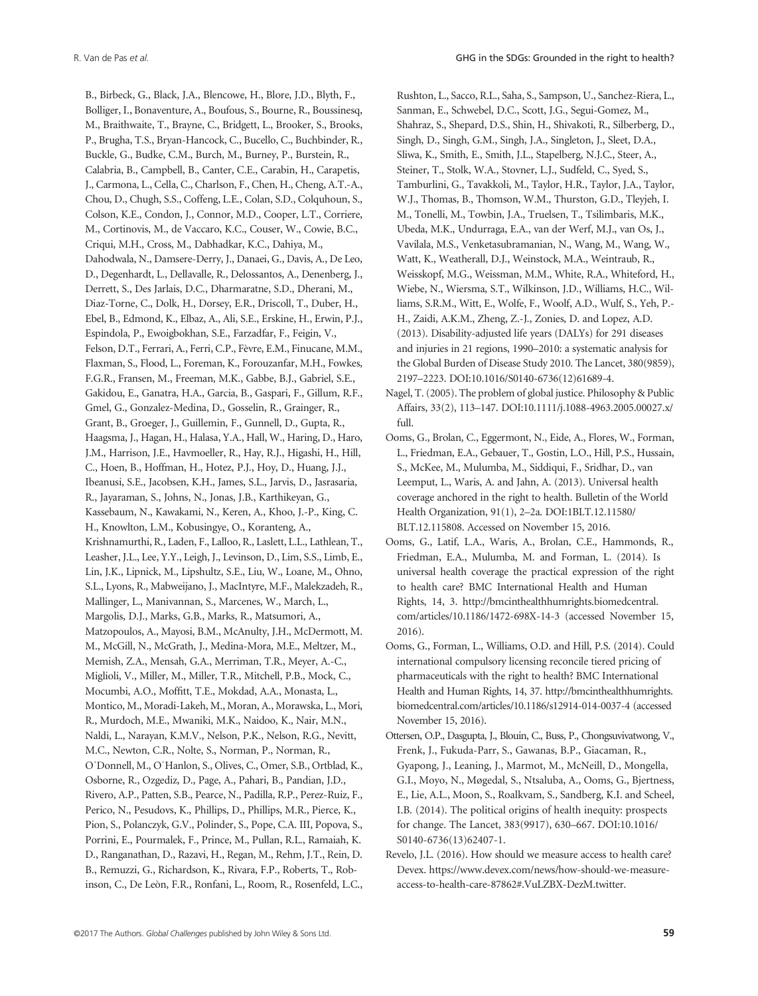B., Birbeck, G., Black, J.A., Blencowe, H., Blore, J.D., Blyth, F., Bolliger, I., Bonaventure, A., Boufous, S., Bourne, R., Boussinesq, M., Braithwaite, T., Brayne, C., Bridgett, L., Brooker, S., Brooks, P., Brugha, T.S., Bryan-Hancock, C., Bucello, C., Buchbinder, R., Buckle, G., Budke, C.M., Burch, M., Burney, P., Burstein, R., Calabria, B., Campbell, B., Canter, C.E., Carabin, H., Carapetis, J., Carmona, L., Cella, C., Charlson, F., Chen, H., Cheng, A.T.-A., Chou, D., Chugh, S.S., Coffeng, L.E., Colan, S.D., Colquhoun, S., Colson, K.E., Condon, J., Connor, M.D., Cooper, L.T., Corriere, M., Cortinovis, M., de Vaccaro, K.C., Couser, W., Cowie, B.C., Criqui, M.H., Cross, M., Dabhadkar, K.C., Dahiya, M., Dahodwala, N., Damsere-Derry, J., Danaei, G., Davis, A., De Leo, D., Degenhardt, L., Dellavalle, R., Delossantos, A., Denenberg, J., Derrett, S., Des Jarlais, D.C., Dharmaratne, S.D., Dherani, M., Diaz-Torne, C., Dolk, H., Dorsey, E.R., Driscoll, T., Duber, H., Ebel, B., Edmond, K., Elbaz, A., Ali, S.E., Erskine, H., Erwin, P.J., Espindola, P., Ewoigbokhan, S.E., Farzadfar, F., Feigin, V., Felson, D.T., Ferrari, A., Ferri, C.P., Fèvre, E.M., Finucane, M.M., Flaxman, S., Flood, L., Foreman, K., Forouzanfar, M.H., Fowkes, F.G.R., Fransen, M., Freeman, M.K., Gabbe, B.J., Gabriel, S.E., Gakidou, E., Ganatra, H.A., Garcia, B., Gaspari, F., Gillum, R.F., Gmel, G., Gonzalez-Medina, D., Gosselin, R., Grainger, R., Grant, B., Groeger, J., Guillemin, F., Gunnell, D., Gupta, R., Haagsma, J., Hagan, H., Halasa, Y.A., Hall, W., Haring, D., Haro, J.M., Harrison, J.E., Havmoeller, R., Hay, R.J., Higashi, H., Hill, C., Hoen, B., Hoffman, H., Hotez, P.J., Hoy, D., Huang, J.J., Ibeanusi, S.E., Jacobsen, K.H., James, S.L., Jarvis, D., Jasrasaria, R., Jayaraman, S., Johns, N., Jonas, J.B., Karthikeyan, G., Kassebaum, N., Kawakami, N., Keren, A., Khoo, J.-P., King, C. H., Knowlton, L.M., Kobusingye, O., Koranteng, A., Krishnamurthi, R., Laden, F., Lalloo, R., Laslett, L.L., Lathlean, T., Leasher, J.L., Lee, Y.Y., Leigh, J., Levinson, D., Lim, S.S., Limb, E., Lin, J.K., Lipnick, M., Lipshultz, S.E., Liu, W., Loane, M., Ohno, S.L., Lyons, R., Mabweijano, J., MacIntyre, M.F., Malekzadeh, R., Mallinger, L., Manivannan, S., Marcenes, W., March, L., Margolis, D.J., Marks, G.B., Marks, R., Matsumori, A., Matzopoulos, A., Mayosi, B.M., McAnulty, J.H., McDermott, M. M., McGill, N., McGrath, J., Medina-Mora, M.E., Meltzer, M., Memish, Z.A., Mensah, G.A., Merriman, T.R., Meyer, A.-C., Miglioli, V., Miller, M., Miller, T.R., Mitchell, P.B., Mock, C., Mocumbi, A.O., Moffitt, T.E., Mokdad, A.A., Monasta, L., Montico, M., Moradi-Lakeh, M., Moran, A., Morawska, L., Mori, R., Murdoch, M.E., Mwaniki, M.K., Naidoo, K., Nair, M.N., Naldi, L., Narayan, K.M.V., Nelson, P.K., Nelson, R.G., Nevitt, M.C., Newton, C.R., Nolte, S., Norman, P., Norman, R., OˈDonnell, M., OˈHanlon, S., Olives, C., Omer, S.B., Ortblad, K., Osborne, R., Ozgediz, D., Page, A., Pahari, B., Pandian, J.D., Rivero, A.P., Patten, S.B., Pearce, N., Padilla, R.P., Perez-Ruiz, F., Perico, N., Pesudovs, K., Phillips, D., Phillips, M.R., Pierce, K., Pion, S., Polanczyk, G.V., Polinder, S., Pope, C.A. III, Popova, S., Porrini, E., Pourmalek, F., Prince, M., Pullan, R.L., Ramaiah, K. D., Ranganathan, D., Razavi, H., Regan, M., Rehm, J.T., Rein, D. B., Remuzzi, G., Richardson, K., Rivara, F.P., Roberts, T., Robinson, C., De Leòn, F.R., Ronfani, L., Room, R., Rosenfeld, L.C., Rushton, L., Sacco, R.L., Saha, S., Sampson, U., Sanchez-Riera, L., Sanman, E., Schwebel, D.C., Scott, J.G., Segui-Gomez, M., Shahraz, S., Shepard, D.S., Shin, H., Shivakoti, R., Silberberg, D., Singh, D., Singh, G.M., Singh, J.A., Singleton, J., Sleet, D.A., Sliwa, K., Smith, E., Smith, J.L., Stapelberg, N.J.C., Steer, A., Steiner, T., Stolk, W.A., Stovner, L.J., Sudfeld, C., Syed, S., Tamburlini, G., Tavakkoli, M., Taylor, H.R., Taylor, J.A., Taylor, W.J., Thomas, B., Thomson, W.M., Thurston, G.D., Tleyjeh, I. M., Tonelli, M., Towbin, J.A., Truelsen, T., Tsilimbaris, M.K., Ubeda, M.K., Undurraga, E.A., van der Werf, M.J., van Os, J., Vavilala, M.S., Venketasubramanian, N., Wang, M., Wang, W., Watt, K., Weatherall, D.J., Weinstock, M.A., Weintraub, R., Weisskopf, M.G., Weissman, M.M., White, R.A., Whiteford, H., Wiebe, N., Wiersma, S.T., Wilkinson, J.D., Williams, H.C., Williams, S.R.M., Witt, E., Wolfe, F., Woolf, A.D., Wulf, S., Yeh, P.- H., Zaidi, A.K.M., Zheng, Z.-J., Zonies, D. and Lopez, A.D. (2013). Disability-adjusted life years (DALYs) for 291 diseases and injuries in 21 regions, 1990–2010: a systematic analysis for the Global Burden of Disease Study 2010. The Lancet, 380(9859), 2197–2223. DOI:10.1016/S0140-6736(12)61689-4.

- Nagel, T. (2005). The problem of global justice. Philosophy & Public Affairs, 33(2), 113–147. DOI[:10.1111/j.1088-4963.2005.00027.x/](http://doi.org/10.1111/j.1088-4963.2005.00027.x/full) [full.](http://doi.org/10.1111/j.1088-4963.2005.00027.x/full)
- Ooms, G., Brolan, C., Eggermont, N., Eide, A., Flores, W., Forman, L., Friedman, E.A., Gebauer, T., Gostin, L.O., Hill, P.S., Hussain, S., McKee, M., Mulumba, M., Siddiqui, F., Sridhar, D., van Leemput, L., Waris, A. and Jahn, A. (2013). Universal health coverage anchored in the right to health. Bulletin of the World Health Organization, 91(1), 2–2a. DOI:1BLT.12.11580/ BLT.12.115808. Accessed on November 15, 2016.
- Ooms, G., Latif, L.A., Waris, A., Brolan, C.E., Hammonds, R., Friedman, E.A., Mulumba, M. and Forman, L. (2014). Is universal health coverage the practical expression of the right to health care? BMC International Health and Human Rights, 14, 3. [http://bmcinthealthhumrights.biomedcentral.](http://bmcinthealthhumrights.biomedcentral.com/articles/10.1186/1472-698X-14-3) [com/articles/10.1186/1472-698X-14-3](http://bmcinthealthhumrights.biomedcentral.com/articles/10.1186/1472-698X-14-3) (accessed November 15, 2016).
- Ooms, G., Forman, L., Williams, O.D. and Hill, P.S. (2014). Could international compulsory licensing reconcile tiered pricing of pharmaceuticals with the right to health? BMC International Health and Human Rights, 14, 37. [http://bmcinthealthhumrights.](http://bmcinthealthhumrights.biomedcentral.com/articles/10.1186/s12914-014-0037-4) [biomedcentral.com/articles/10.1186/s12914-014-0037-4](http://bmcinthealthhumrights.biomedcentral.com/articles/10.1186/s12914-014-0037-4) (accessed November 15, 2016).
- Ottersen, O.P., Dasgupta, J., Blouin, C., Buss, P., Chongsuvivatwong, V., Frenk, J., Fukuda-Parr, S., Gawanas, B.P., Giacaman, R., Gyapong, J., Leaning, J., Marmot, M., McNeill, D., Mongella, G.I., Moyo, N., Møgedal, S., Ntsaluba, A., Ooms, G., Bjertness, E., Lie, A.L., Moon, S., Roalkvam, S., Sandberg, K.I. and Scheel, I.B. (2014). The political origins of health inequity: prospects for change. The Lancet, 383(9917), 630–667. DOI:[10.1016/](http://doi.org/10.1016/S0140-6736(13)62407-1) [S0140-6736\(13\)62407-1.](http://doi.org/10.1016/S0140-6736(13)62407-1)
- Revelo, J.L. (2016). How should we measure access to health care? Devex. [https://www.devex.com/news/how-should-we-measure](https://www.devex.com/news/how-should-we-measure-access-to-health-care-87862#.VuLZBX-DezM.twitter)[access-to-health-care-87862#.VuLZBX-DezM.twitter](https://www.devex.com/news/how-should-we-measure-access-to-health-care-87862#.VuLZBX-DezM.twitter).